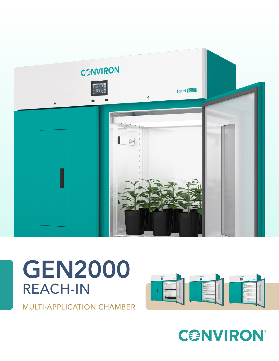

# GEN2000 REACH-IN

MULTI-APPLICATION CHAMBER



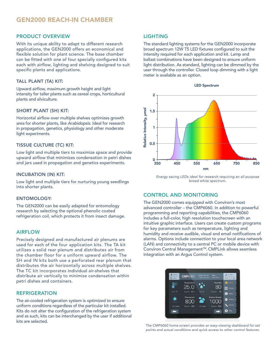### PRODUCT OVERVIEW

With its unique ability to adapt to different research applications, the GEN2000 offers an economical and flexible solution for plant science. The base chamber can be fitted with one of four specially configured kits each with airflow, lighting and shelving designed to suit specific plants and applications.

#### TALL PLANT (TA) KIT:

Upward airflow, maximum growth height and light intensity for taller plants such as cereal crops, horticultural plants and silviculture.

#### SHORT PLANT (SH) KIT:

Horizontal airflow over multiple shelves optimizes growth area for shorter plants, like *Arabidopsis*. Ideal for research in propagation, genetics, physiology and other moderate light experiments.

#### TISSUE CULTURE (TC) KIT:

Low light and multiple tiers to maximize space and provide upward airflow that minimizes condensation in petri dishes and jars used in propagation and genetics experiments.

#### INCUBATION (IN) KIT:

Low light and multiple tiers for nurturing young seedlings into shorter plants.

#### ENTOMOLOGY:

The GEN2000 can be easily adapted for entomology research by selecting the optional phenolic coated refrigeration coil, which protects it from insect damage.

#### AIRFLOW

Precisely designed and manufactured air plenums are used for each of the four application kits. The TA kit utilizes a solid rear plenum and distributes air from the chamber floor for a uniform upward airflow. The SH and IN kits both use a perforated rear plenum that distributes the air horizontally across multiple shelves. The TC kit incorporates individual air-shelves that distribute air vertically to minimize condensation within petri dishes and containers.

#### REFRIGERATION

The air-cooled refrigeration system is optimized to ensure uniform conditions regardless of the particular kit installed. Kits do not alter the configuration of the refrigeration system and as such, kits can be interchanged by the user if additional kits are selected.

# LIGHTING

The standard lighting systems for the GEN2000 incorporate broad spectrum 12W T5 LED fixtures configured to suit the intensity required for each application and kit. Lamp and ballast combinations have been designed to ensure uniform light distribution. As standard, lighting can be dimmed by the user through the controller. Closed loop dimming with a light meter is available as an option.



*Energy saving LEDs ideal for research requiring an all-purpose broad white spectrum.*

# CONTROL AND MONITORING

The GEN2000 comes equipped with Conviron's most advanced controller – the CMP6060. In addition to powerful programming and reporting capabilities, the CMP6060 includes a full-color, high resolution touchscreen with an intuitive graphic interface. Users can create custom programs for key parameters such as temperature, lighting and humidity and receive audible, visual and email notifications of alarms. Options include connection to your local area network (LAN) and connectivity to a central PC or mobile device with Conviron Central Management™. CMPLink allows seamless integration with an Argus Control system.

| Alarms<br><b>D</b> About | <b>CMP6060</b>     | <b>System Running</b> | User<br><b>John Smith</b>     | $\frac{1}{40}$ ID 058<br>$01 \frac{3 \text{J} \text{L}}{\text{m/s}}$<br>09.33 |
|--------------------------|--------------------|-----------------------|-------------------------------|-------------------------------------------------------------------------------|
|                          | Temperature        |                       | Humidity                      | <b>COM</b> Home                                                               |
|                          | 25.0               |                       | 80                            | <b>Ed</b> Control                                                             |
| Unit "C                  | Setpoint 25.0      | Unit %                | 80<br>Setpoint                | G.<br><b>Status</b>                                                           |
|                          | Flourescent<br>800 |                       | <b>Carbon Dioxide</b><br>1000 | Settings                                                                      |
| Unit <b>umol</b>         | 800<br>Setpoint    | Unit ppm              | Setpoint 1000                 | Service                                                                       |
|                          | .                  |                       | ⇒                             | Stop<br>Ø                                                                     |
|                          |                    |                       |                               |                                                                               |

*The CMP6060 home screen provides an easy-viewing dashboard for set points and actual conditions and quick access to other control features.*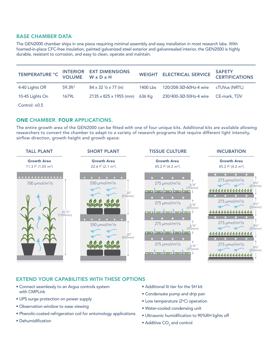#### BASE CHAMBER DATA

The GEN2000 chamber ships in one piece requiring minimal assembly and easy installation in most research labs. With foamed-in-place CFC-free insulation, painted galvanized steel exterior and galvannealed interior, the GEN2000 is highly durable, resistant to corrosion, and easy to clean, operate and maintain.

|                    |                    | TEMPERATURE °C INTERIOR EXT DIMENSIONS<br>VOLUME W x D x H |          | WEIGHT ELECTRICAL SERVICE            | <b>SAFETY</b><br><b>CERTIFICATIONS</b> |
|--------------------|--------------------|------------------------------------------------------------|----------|--------------------------------------|----------------------------------------|
| 4-40 Lights Off    | $59.3 \text{ft}^3$ | $84 \times 32 \frac{1}{2} \times 77$ (in)                  | 1400 Lbs | 120/208-3Ø-60Hz-4 wire cTUVus (NRTL) |                                        |
| 10-45 Lights On    | 1679L              | $2135 \times 825 \times 1955$ (mm)                         | 636 Ka   | 230/400-3Ø-50Hz-4 wire CE-mark, TÜV  |                                        |
| Control: $\pm 0.5$ |                    |                                                            |          |                                      |                                        |

#### ONE CHAMBER. FOUR APPLICATIONS.

The entire growth area of the GEN2000 can be fitted with one of four unique kits. Additional kits are available allowing researchers to convert the chamber to adapt to a variety of research programs that require different light intensity, airflow direction, growth height and growth space:



# EXTEND YOUR CAPABILITIES WITH THESE OPTIONS

- Connect seamlessly to an Argus controls system with CMPLink
- UPS surge protection on power supply
- Observation window to ease viewing
- Phenolic-coated refrigeration coil for entomology applications
- Dehumidification
- Additional lit tier for the SH kit
- Condensate pump and drip pan
- $\bullet$  Low temperature (2 $\degree$ C) operation
- Water-cooled condensing unit
- Ultrasonic humidification to 90%RH lights off
- $\bullet$  Additive CO<sub>2</sub> and control